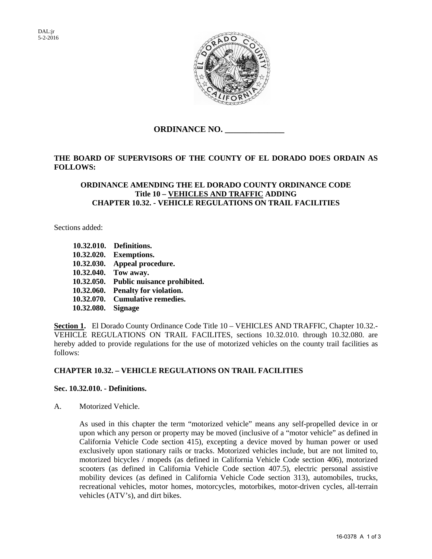

**ORDINANCE NO. \_\_\_\_\_\_\_\_\_\_\_\_\_\_** 

# **THE BOARD OF SUPERVISORS OF THE COUNTY OF EL DORADO DOES ORDAIN AS FOLLOWS:**

## **ORDINANCE AMENDING THE EL DORADO COUNTY ORDINANCE CODE Title 10 – VEHICLES AND TRAFFIC ADDING CHAPTER 10.32. - VEHICLE REGULATIONS ON TRAIL FACILITIES**

Sections added:

**[10.32.010.](http://www.codepublishing.com/CA/Folsom/html/Folsom10/Folsom1032.html#10.32.010) Definitions. 10.32.020. Exemptions. [10.32.030.](http://www.codepublishing.com/CA/Folsom/html/Folsom10/Folsom1032.html#10.32.030) Appeal procedure. [10.32.040.](http://www.codepublishing.com/CA/Folsom/html/Folsom10/Folsom1032.html#10.32.110) Tow away. [10.32.050.](http://www.codepublishing.com/CA/Folsom/html/Folsom10/Folsom1032.html#10.32.120) Public nuisance prohibited. 10.32.060. Penalty for violation. 10.32.070. Cumulative remedies. 10.32.080. Signage** 

**Section 1.** El Dorado County Ordinance Code Title 10 – VEHICLES AND TRAFFIC, Chapter 10.32.- VEHICLE REGULATIONS ON TRAIL FACILITES, sections 10.32.010. through 10.32.080. are hereby added to provide regulations for the use of motorized vehicles on the county trail facilities as follows:

## **CHAPTER 10.32. – VEHICLE REGULATIONS ON TRAIL FACILITIES**

## **Sec. 10.32.010. - Definitions.**

A. Motorized Vehicle.

As used in this chapter the term "motorized vehicle" means any self-propelled device in or upon which any person or property may be moved (inclusive of a "motor vehicle" as defined in California Vehicle Code section 415), excepting a device moved by human power or used exclusively upon stationary rails or tracks. Motorized vehicles include, but are not limited to, motorized bicycles / mopeds (as defined in California Vehicle Code section 406), motorized scooters (as defined in California Vehicle Code section 407.5), electric personal assistive mobility devices (as defined in California Vehicle Code section 313), automobiles, trucks, recreational vehicles, motor homes, motorcycles, motorbikes, motor-driven cycles, all-terrain vehicles (ATV's), and dirt bikes.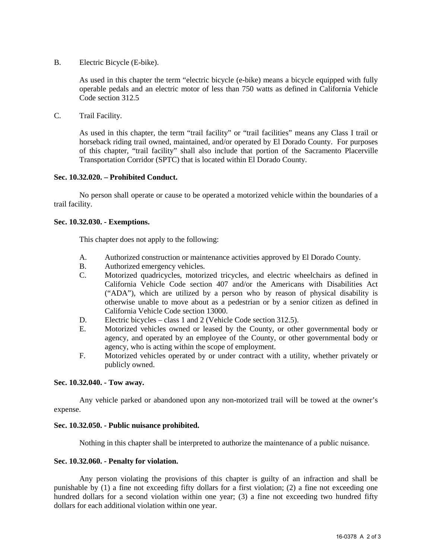B. Electric Bicycle (E-bike).

As used in this chapter the term "electric bicycle (e-bike) means a bicycle equipped with fully operable pedals and an electric motor of less than 750 watts as defined in California Vehicle Code section 312.5

C. Trail Facility.

As used in this chapter, the term "trail facility" or "trail facilities" means any Class I trail or horseback riding trail owned, maintained, and/or operated by El Dorado County. For purposes of this chapter, "trail facility" shall also include that portion of the Sacramento Placerville Transportation Corridor (SPTC) that is located within El Dorado County.

#### **Sec. 10.32.020. – Prohibited Conduct.**

No person shall operate or cause to be operated a motorized vehicle within the boundaries of a trail facility.

#### **Sec. 10.32.030. - Exemptions.**

This chapter does not apply to the following:

- A. Authorized construction or maintenance activities approved by El Dorado County.
- B. Authorized emergency vehicles.
- C. Motorized quadricycles, motorized tricycles, and electric wheelchairs as defined in California Vehicle Code section 407 and/or the Americans with Disabilities Act ("ADA"), which are utilized by a person who by reason of physical disability is otherwise unable to move about as a pedestrian or by a senior citizen as defined in California Vehicle Code section 13000.
- D. Electric bicycles class 1 and 2 (Vehicle Code section 312.5).
- E. Motorized vehicles owned or leased by the County, or other governmental body or agency, and operated by an employee of the County, or other governmental body or agency, who is acting within the scope of employment.
- F. Motorized vehicles operated by or under contract with a utility, whether privately or publicly owned.

#### **Sec. 10.32.040. - Tow away.**

Any vehicle parked or abandoned upon any non-motorized trail will be towed at the owner's expense.

#### **Sec. 10.32.050. - Public nuisance prohibited.**

Nothing in this chapter shall be interpreted to authorize the maintenance of a public nuisance.

#### **Sec. 10.32.060. - Penalty for violation.**

Any person violating the provisions of this chapter is guilty of an infraction and shall be punishable by (1) a fine not exceeding fifty dollars for a first violation; (2) a fine not exceeding one hundred dollars for a second violation within one year; (3) a fine not exceeding two hundred fifty dollars for each additional violation within one year.